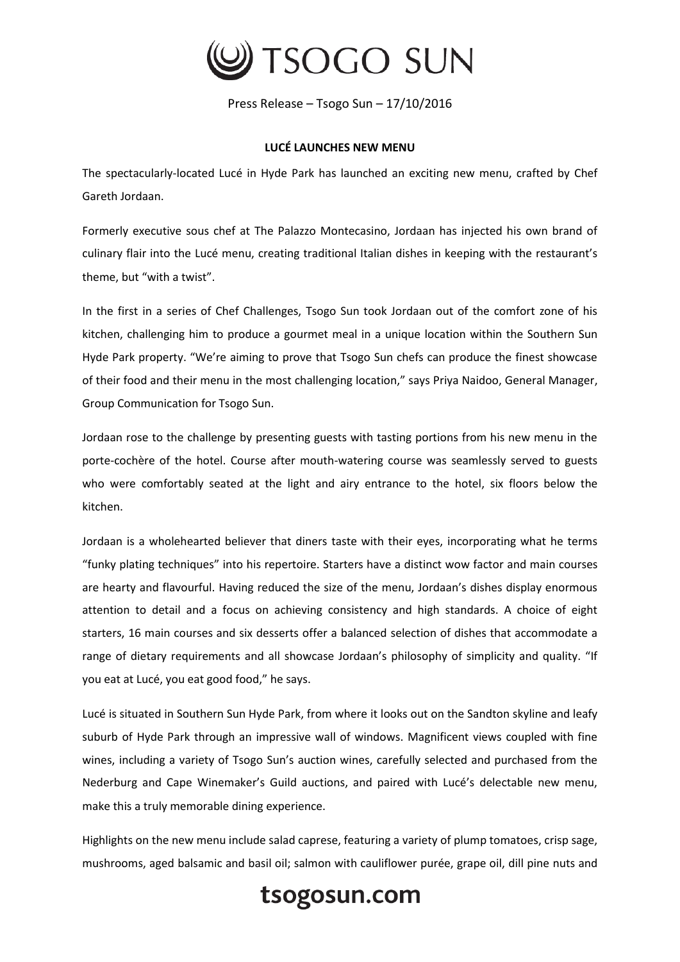

Press Release – Tsogo Sun – 17/10/2016

## **LUCÉ LAUNCHES NEW MENU**

The spectacularly-located Lucé in Hyde Park has launched an exciting new menu, crafted by Chef Gareth Jordaan.

Formerly executive sous chef at The Palazzo Montecasino, Jordaan has injected his own brand of culinary flair into the Lucé menu, creating traditional Italian dishes in keeping with the restaurant's theme, but "with a twist".

In the first in a series of Chef Challenges, Tsogo Sun took Jordaan out of the comfort zone of his kitchen, challenging him to produce a gourmet meal in a unique location within the Southern Sun Hyde Park property. "We're aiming to prove that Tsogo Sun chefs can produce the finest showcase of their food and their menu in the most challenging location," says Priya Naidoo, General Manager, Group Communication for Tsogo Sun.

Jordaan rose to the challenge by presenting guests with tasting portions from his new menu in the porte-cochère of the hotel. Course after mouth-watering course was seamlessly served to guests who were comfortably seated at the light and airy entrance to the hotel, six floors below the kitchen.

Jordaan is a wholehearted believer that diners taste with their eyes, incorporating what he terms "funky plating techniques" into his repertoire. Starters have a distinct wow factor and main courses are hearty and flavourful. Having reduced the size of the menu, Jordaan's dishes display enormous attention to detail and a focus on achieving consistency and high standards. A choice of eight starters, 16 main courses and six desserts offer a balanced selection of dishes that accommodate a range of dietary requirements and all showcase Jordaan's philosophy of simplicity and quality. "If you eat at Lucé, you eat good food," he says.

Lucé is situated in Southern Sun Hyde Park, from where it looks out on the Sandton skyline and leafy suburb of Hyde Park through an impressive wall of windows. Magnificent views coupled with fine wines, including a variety of Tsogo Sun's auction wines, carefully selected and purchased from the Nederburg and Cape Winemaker's Guild auctions, and paired with Lucé's delectable new menu, make this a truly memorable dining experience.

Highlights on the new menu include salad caprese, featuring a variety of plump tomatoes, crisp sage, mushrooms, aged balsamic and basil oil; salmon with cauliflower purée, grape oil, dill pine nuts and

tsogosun.com